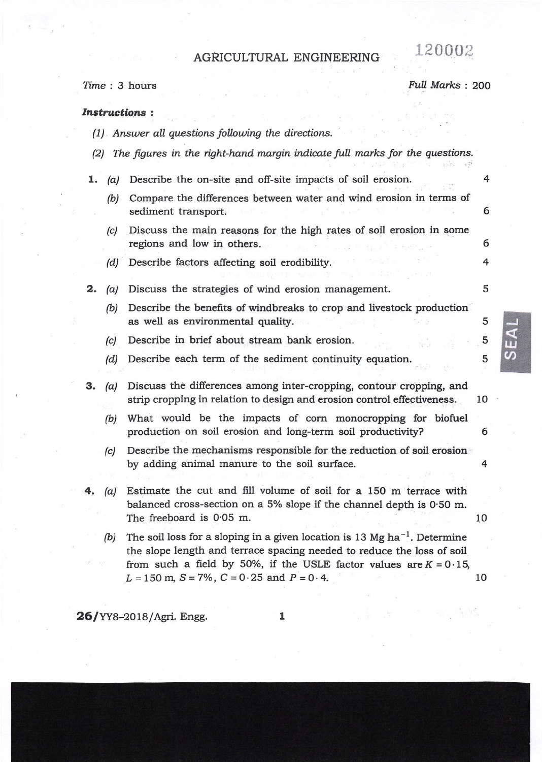## AGRICULTURAL ENGINEERING 120002

 $Time: 3 hours$  Full Marks t 200

4

5

5

5 5

tu  $\boldsymbol{\omega}$ 

## Instructions :

- $(1)$  Answer all questions following the directions.
- $(2)$  The figures in the right-hand margin indicate full marks for the questions.
- $1.$ (b) Compare the differences between water and wind erosion in terms of (c)  $(a)$  Describe the on-site and off-site impacts of soil erosion. sediment transport. Discuss the main reasons for the high rates of soil erosion in some regions and low in others. 4 6 6
	- (d) Describe factors affecting soil erodibility.
- 2. (a) Discuss the strategies of wind erosion management.
	- (b) Describe the benefits of windbreaks to crop and livestock production as well as environmental quality.
	- (c) Describe in brief about stream bank erosion.
	- (d) Describe each term of the sediment continuity equation.
- **3.** (a) Discuss the differences among inter-cropping, contour cropping, and strip cropping in relation to design and erosion control effectiveness. 10
	- (b) What would be the impacts of corn monocropping for biofuel production on soil erosion and long-term soil productivity? 6
	- (c) Describe the mechanisms responsible for the reduction of soil erosion by adding animal manure to the soil surface. 4
- $(a)$  Estimate the cut and fill volume of soil for a 150 m terrace with balanced cross-section on a 5% slope if the channel depth is 0.50 m. The freeboard is 0.05 m. 10
	- (b) The soil loss for a sloping in a given location is 13 Mg ha<sup>-1</sup>. Determine the slope length and terrace spacing needed to reduce the loss of soil from such a field by 50%, if the USLE factor values are  $K = 0.15$ ,  $L = 150$  m,  $S = 7\%$ ,  $C = 0.25$  and  $P = 0.4$ . 10

**26/YY8-2018/Agri. Engg.**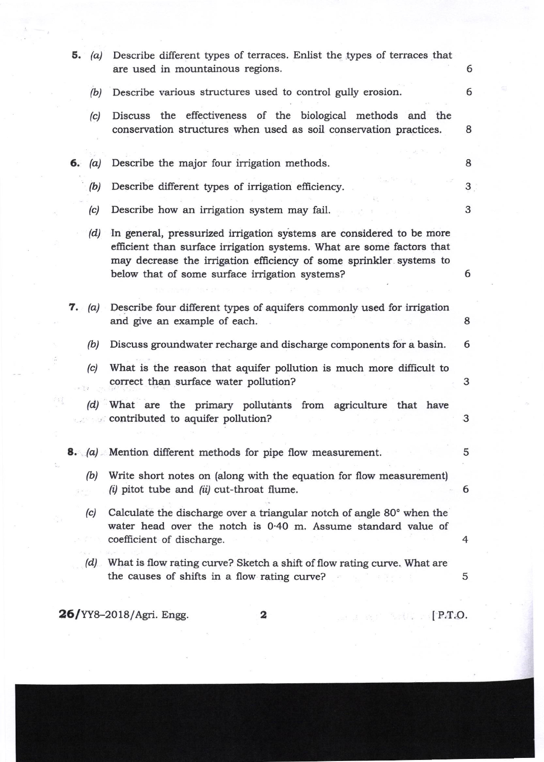|  | 5. $(a)$       | Describe different types of terraces. Enlist the types of terraces that<br>are used in mountainous regions.                                                                                                                                                            | 6 |
|--|----------------|------------------------------------------------------------------------------------------------------------------------------------------------------------------------------------------------------------------------------------------------------------------------|---|
|  | (b)            | Describe various structures used to control gully erosion.                                                                                                                                                                                                             | 6 |
|  | (c)            | Discuss the effectiveness of the biological methods and the<br>conservation structures when used as soil conservation practices.                                                                                                                                       | 8 |
|  | 6. (a)         | Describe the major four irrigation methods.                                                                                                                                                                                                                            | 8 |
|  | (b)            | Describe different types of irrigation efficiency.                                                                                                                                                                                                                     | 3 |
|  | (c)            | Describe how an irrigation system may fail.                                                                                                                                                                                                                            | 3 |
|  | (d)            | In general, pressurized irrigation systems are considered to be more<br>efficient than surface irrigation systems. What are some factors that<br>may decrease the irrigation efficiency of some sprinkler systems to<br>below that of some surface irrigation systems? | 6 |
|  | $7. \quad (a)$ | Describe four different types of aquifers commonly used for irrigation<br>and give an example of each.                                                                                                                                                                 | 8 |
|  | (b)            | Discuss groundwater recharge and discharge components for a basin.                                                                                                                                                                                                     | 6 |
|  | (c)            | What is the reason that aquifer pollution is much more difficult to<br>correct than surface water pollution?                                                                                                                                                           | 3 |
|  |                | (d) What are the primary pollutants from agriculture that have<br>contributed to aquifer pollution?                                                                                                                                                                    | 3 |
|  |                | <b>8.</b> (a) Mention different methods for pipe flow measurement.                                                                                                                                                                                                     | 5 |
|  | (b)            | Write short notes on (along with the equation for flow measurement)<br>$(i)$ pitot tube and $(ii)$ cut-throat flume.                                                                                                                                                   | 6 |
|  | (c)            | Calculate the discharge over a triangular notch of angle 80° when the<br>water head over the notch is 0.40 m. Assume standard value of<br>coefficient of discharge.                                                                                                    | 4 |
|  |                | (d) What is flow rating curve? Sketch a shift of flow rating curve. What are<br>the causes of shifts in a flow rating curve?                                                                                                                                           | 5 |
|  |                | <b>26/YY8-2018/Agri. Engg.</b><br>$[$ P.T.O.<br>2                                                                                                                                                                                                                      |   |

 $\frac{1}{2} \frac{1}{2} \sum_{i=1}^{n} \frac{1}{2} \sum_{i=1}^{n} \frac{1}{2} \sum_{i=1}^{n} \frac{1}{2} \sum_{i=1}^{n} \frac{1}{2} \sum_{i=1}^{n} \frac{1}{2} \sum_{i=1}^{n} \frac{1}{2} \sum_{i=1}^{n} \frac{1}{2} \sum_{i=1}^{n} \frac{1}{2} \sum_{i=1}^{n} \frac{1}{2} \sum_{i=1}^{n} \frac{1}{2} \sum_{i=1}^{n} \frac{1}{2} \sum_{i=1}^{n} \frac{1}{2} \sum$ 

i.

y.

 $\frac{1}{2}$ 

 $\frac{1}{2}$